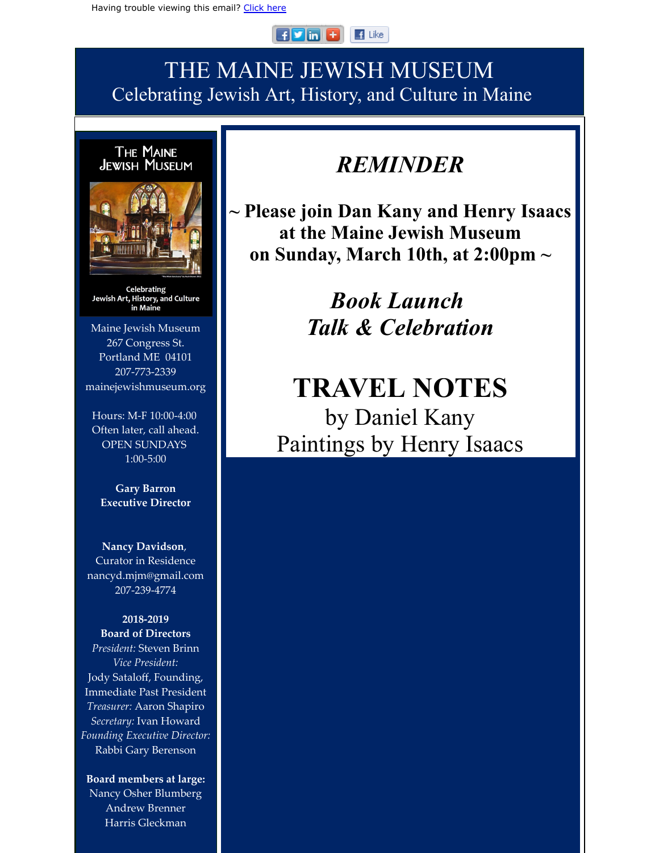#### $F$  in  $F$  $\blacksquare$  Like

### THE MAINE JEWISH MUSEUM Celebrating Jewish Art, History, and Culture in Maine



**Celebrating** Jewish Art, History, and Culture in Maine

Maine Jewish Museum 267 Congress St. Portland ME 04101 207-773-2339 mainejewishmuseum.org

Hours: M-F 10:00-4:00 Often later, call ahead. OPEN SUNDAYS 1:00-5:00

**Gary Barron Executive Director**

**Nancy Davidson**, Curator in Residence nancyd.mjm@gmail.com 207-239-4774

#### **2018-2019 Board of Directors**

*President:* Steven Brinn *Vice President:* Jody Sataloff, Founding, Immediate Past President *Treasurer:* Aaron Shapiro *Secretary:* Ivan Howard *Founding Executive Director:* Rabbi Gary Berenson

**Board members at large:** Nancy Osher Blumberg Andrew Brenner Harris Gleckman

## *REMINDER*

**~ Please join Dan Kany and Henry Isaacs at the Maine Jewish Museum on Sunday, March 10th, at 2:00pm ~**

> *Book Launch Talk & Celebration*

# **TRAVEL NOTES** by Daniel Kany Paintings by Henry Isaacs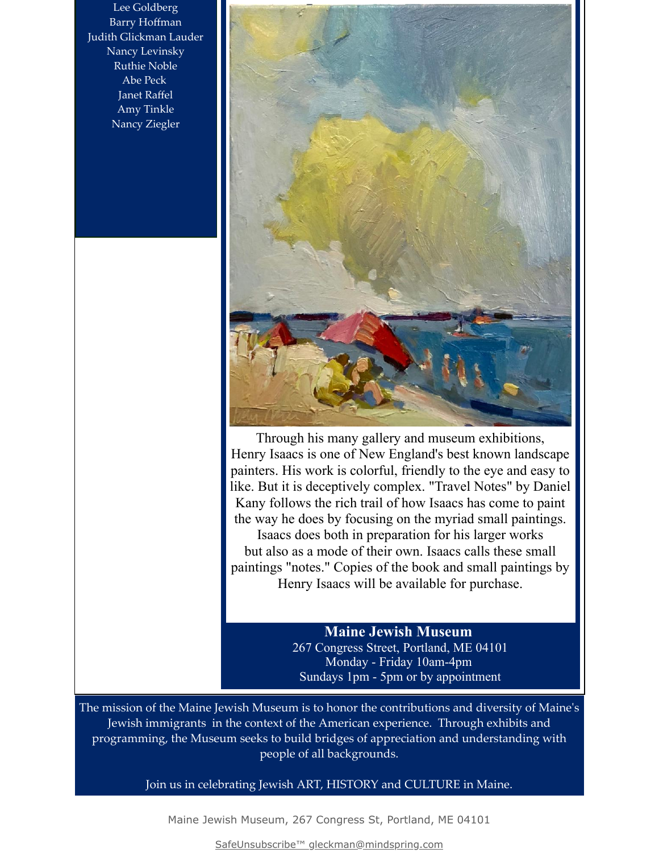Lee Goldberg Barry Hoffman Judith Glickman Lauder Nancy Levinsky Ruthie Noble Abe Peck Janet Raffel Amy Tinkle Nancy Ziegler



Through his many gallery and museum exhibitions, Henry Isaacs is one of New England's best known landscape painters. His work is colorful, friendly to the eye and easy to like. But it is deceptively complex. "Travel Notes" by Daniel Kany follows the rich trail of how Isaacs has come to paint the way he does by focusing on the myriad small paintings. Isaacs does both in preparation for his larger works but also as a mode of their own. Isaacs calls these small paintings "notes." Copies of the book and small paintings by Henry Isaacs will be available for purchase.

### **Maine Jewish Museum**

267 Congress Street, Portland, ME 04101 Monday - Friday 10am-4pm Sundays 1pm - 5pm or by appointment

The mission of the Maine Jewish Museum is to honor the contributions and diversity of Maine's Jewish immigrants in the context of the American experience. Through exhibits and programming, the Museum seeks to build bridges of appreciation and understanding with people of all backgrounds.

Join us in celebrating Jewish ART, HISTORY and CULTURE in Maine.

Maine Jewish Museum, 267 Congress St, Portland, ME 04101

[SafeUnsubscribe™ gleckman@mindspring.com](https://visitor.constantcontact.com/do?p=un&m=001MA1wUD1WoN9OetODbSVyuw%3D%3D&ch=f3092570-3350-11e3-a080-90b11c3522c5&ca=77f8fe56-9a0a-44c8-8925-b37af54f431a)